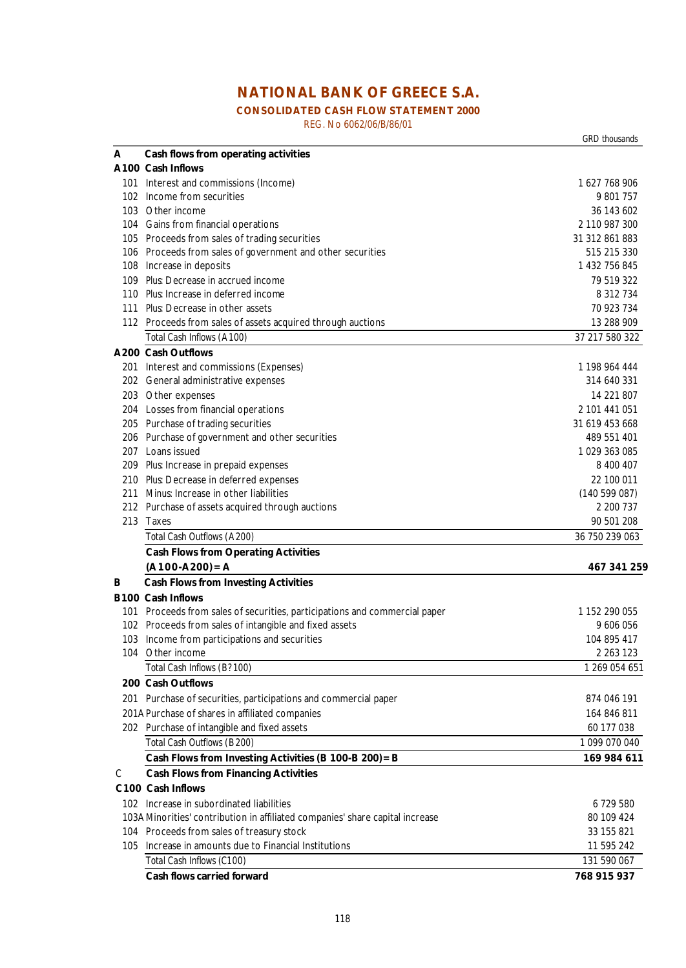# **NATIONAL BANK OF GREECE S.A.**

## **CONSOLIDATED CASH FLOW STATEMENT 2000**

REG. No 6062/06/B/86/01

*GRD thousands* **A Cash flows from operating activities A100 Cash Inflows** 101 Interest and commissions (Income) 1 627 768 906 102 Income from securities 9 801 757 103 Other income 36 143 602 104 Gains from financial operations 2 110 987 300 105 Proceeds from sales of trading securities 31 312 861 883 106 Proceeds from sales of government and other securities 515 215 330 108 Increase in deposits 1 432 756 845 109 *Plus*: Decrease in accrued income 79 519 322 110 *Plus*: Increase in deferred income 8 312 734 111 *Plus*: Decrease in other assets 70 923 734 112 Proceeds from sales of assets acquired through auctions 13 288 909 13 288 909 *Total Cash Inflows (A 100)* 37 217 580 322 **A200 Cash Outflows** 201 Interest and commissions (Expenses) 1 198 964 444 202 General administrative expenses 314 640 331 203 Other expenses 2008 2012 14 221 807 204 Losses from financial operations 2 101 441 051 205 Purchase of trading securities 31 619 453 668 206 Purchase of government and other securities 489 551 401 207 Loans issued 1 029 363 085 209 *Plus*: Increase in prepaid expenses 8 400 407 210 *Plus*: Decrease in deferred expenses 22 100 011 211 *Minus*: Increase in other liabilities (140 599 087) 212 Purchase of assets acquired through auctions 2 200 737 213 Taxes 90 501 208 *Total Cash Outflows (A 200)* 36 750 239 063 **Cash Flows from Operating Activities (A100-A200)=A 467 341 259 B Cash Flows from Investing Activities B100 Cash Inflows** 101 Proceeds from sales of securities, participations and commercial paper 1 1 1152 290 055 102 Proceeds from sales of intangible and fixed assets 9 606 056 103 Income from participations and securities 104 895 417 104 Other income 2 263 123 *Total Cash Inflows (B? 100)* 1 269 054 651  **200 Cash Outflows** 201 Purchase of securities, participations and commercial paper 874 046 191 201APurchase of shares in affiliated companies 164 846 811 202 Purchase of intangible and fixed assets 60 177 038 *Total Cash Outflows (B 200)* 1 099 070 040 **Cash Flows from Investing Activities (B 100-B 200)=B 169 984 611**  C **Cash Flows from Financing Activities C100 Cash Inflows** 102 Increase in subordinated liabilities 6 729 580 103AMinorities' contribution in affiliated companies' share capital increase 80 109 424 104 Proceeds from sales of treasury stock 33 155 821 105 Increase in amounts due to Financial Institutions 11 595 242 *Total Cash Inflows (C100)* 131 590 067 **Cash flows carried forward 768 915 937**